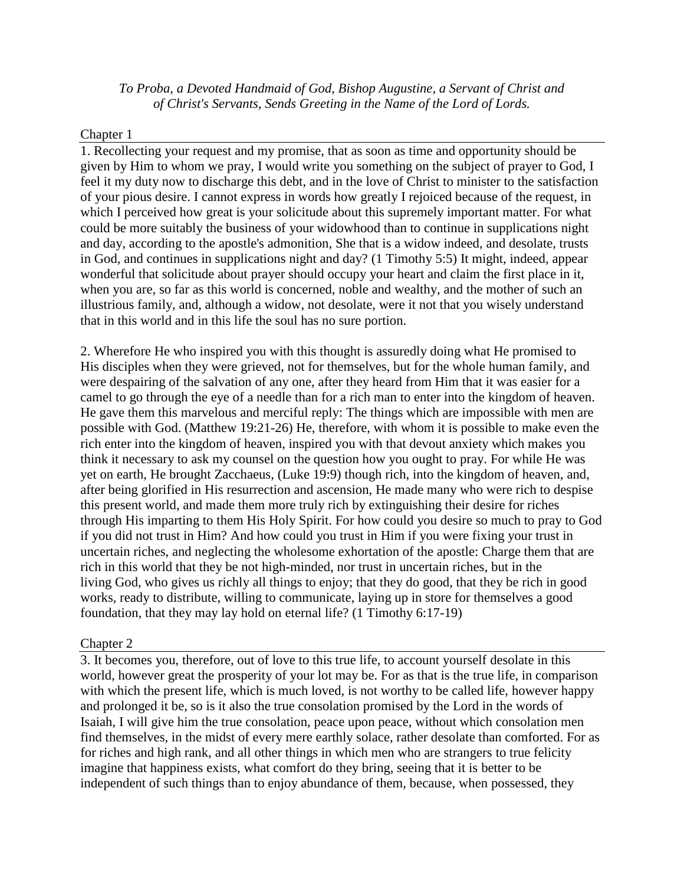# *To Proba*, *a Devoted Handmaid of [God,](http://www.newadvent.org/cathen/06608a.htm) Bishop Augustine, a Servant of Christ and of [Christ's](http://www.newadvent.org/cathen/08374c.htm) Servants, Sends Greeting in the Name of the Lord of Lords.*

# Chapter 1

1. Recollecting your request and my promise, that as soon as time and opportunity should be given by Him to whom we [pray,](http://www.newadvent.org/cathen/12345b.htm) I would write you something on the subject of [prayer](http://www.newadvent.org/cathen/12345b.htm) to [God,](http://www.newadvent.org/cathen/06608a.htm) I feel it my duty now to discharge this debt, and in the [love](http://www.newadvent.org/cathen/09397a.htm) of Christ to minister to the satisfaction of your [pious](http://www.newadvent.org/cathen/12748a.htm) desire. I cannot express in words how greatly I rejoiced because of the request, in which I perceived how great is your solicitude about this supremely important matter. For what could be more suitably the business of your widowhood than to continue in supplications night and day, according to the apostle's admonition, She that is a [widow](http://www.newadvent.org/cathen/15617c.htm) indeed, and desolate, trusts in [God,](http://www.newadvent.org/cathen/06608a.htm) and continues in supplications night and day? (1 [Timothy](http://www.newadvent.org/bible/1ti005.htm#verse5) 5:5) It might, indeed, appear wonderful that solicitude about [prayer](http://www.newadvent.org/cathen/12345b.htm) should occupy your heart and claim the first place in it, when you are, so far as this world is concerned, noble and [wealthy,](http://www.newadvent.org/cathen/15571a.htm) and the mother of such an illustrious [family,](http://www.newadvent.org/cathen/05782a.htm) and, although a [widow,](http://www.newadvent.org/cathen/15617c.htm) not desolate, were it not that you wisely understand that in this world and in this life the [soul](http://www.newadvent.org/cathen/14153a.htm) has no sure portion.

2. Wherefore He who inspired you with this thought is assuredly doing what He promised to His [disciples](http://www.newadvent.org/cathen/05029a.htm) when they were grieved, not for themselves, but for the whole [human](http://www.newadvent.org/cathen/09580c.htm) [family,](http://www.newadvent.org/cathen/05782a.htm) and were despairing of the [salvation](http://www.newadvent.org/cathen/13407a.htm) of any one, after they heard from Him that it was easier for a camel to go through the eye of a needle than for a rich man to enter into the [kingdom of heaven.](http://www.newadvent.org/cathen/08646a.htm) He gave them this marvelous and merciful reply: The things which are impossible with men are possible with [God.](http://www.newadvent.org/cathen/06608a.htm) (Matthew [19:21-26\)](http://www.newadvent.org/bible/mat019.htm#verse21) He, therefore, with whom it is possible to make even the rich enter into the [kingdom of heaven,](http://www.newadvent.org/cathen/08646a.htm) inspired you with that devout anxiety which makes you think it necessary to ask my counsel on the question how you ought to [pray.](http://www.newadvent.org/cathen/12345b.htm) For while He was yet on earth, He brought Zacchaeus, [\(Luke](http://www.newadvent.org/bible/luk019.htm#verse9) 19:9) though rich, into the [kingdom of heaven,](http://www.newadvent.org/cathen/08646a.htm) and, after being [glorified](http://www.newadvent.org/cathen/06585a.htm) in His [resurrection](http://www.newadvent.org/cathen/12789a.htm) and ascension, He made many who were rich to despise this present world, and made them more [truly](http://www.newadvent.org/cathen/15073a.htm) rich by extinguishing their desire for riches through His imparting to them His [Holy Spirit.](http://www.newadvent.org/cathen/07409a.htm) For how could you desire so much to [pray](http://www.newadvent.org/cathen/12345b.htm) to God if you did not trust in Him? And how could you trust in Him if you were fixing your trust in uncertain riches, and neglecting the wholesome exhortation of the apostle: Charge them that are rich in this world that they be not high-minded, nor trust in uncertain riches, but in the living [God,](http://www.newadvent.org/cathen/06608a.htm) who gives us richly all things to enjoy; that they do good, that they be rich in good works, ready to distribute, willing to communicate, laying up in store for themselves a good foundation, that they may lay hold on [eternal](http://www.newadvent.org/cathen/05551b.htm) life? (1 [Timothy](http://www.newadvent.org/bible/1ti006.htm#verse17) 6:17-19)

# Chapter 2

3. It becomes you, therefore, out of [love](http://www.newadvent.org/cathen/09397a.htm) to this [true](http://www.newadvent.org/cathen/15073a.htm) life, to account yourself desolate in this world, however great the prosperity of your lot may be. For as that is the [true](http://www.newadvent.org/cathen/15073a.htm) life, in comparison with which the present life, which is much loved, is not worthy to be called life, however happy and prolonged it be, so is it also the [true](http://www.newadvent.org/cathen/15073a.htm) consolation promised by the Lord in the words of Isaiah, I will give him the [true](http://www.newadvent.org/cathen/15073a.htm) consolation, peace upon peace, without which consolation men find themselves, in the midst of every mere earthly solace, rather desolate than comforted. For as for riches and high rank, and all other things in which men who are strangers to true felicity imagine that [happiness](http://www.newadvent.org/cathen/07131b.htm) exists, what comfort do they bring, seeing that it is better to be independent of such things than to enjoy abundance of them, because, when possessed, they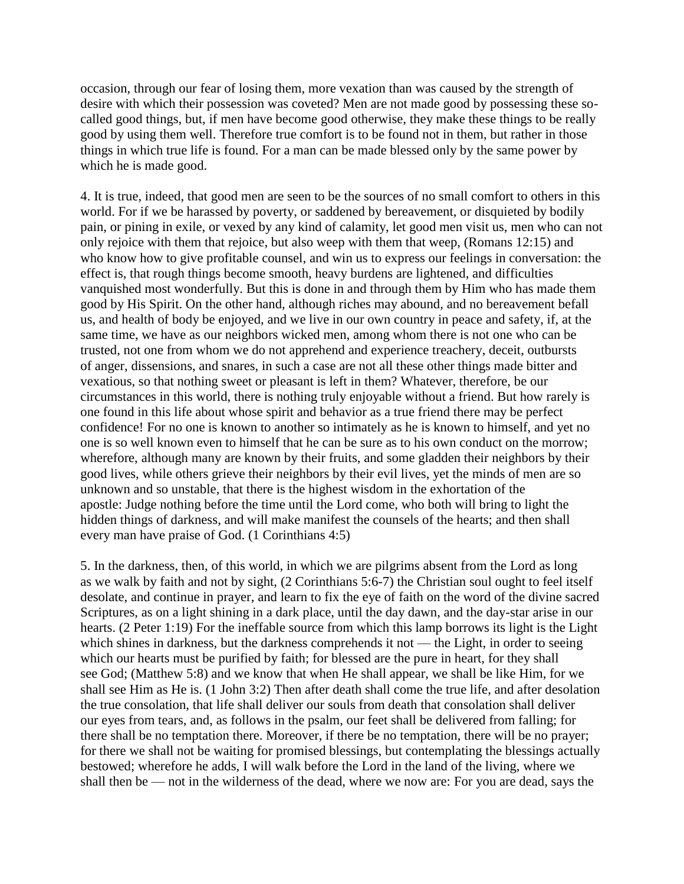occasion, through our [fear](http://www.newadvent.org/cathen/06021a.htm) of losing them, more vexation than was caused by the strength of desire with which their possession was [coveted?](http://www.newadvent.org/cathen/04462a.htm) Men are not made good by possessing these socalled [good](http://www.newadvent.org/cathen/06636b.htm) things, but, if men have become good otherwise, they make these things to be really good by using them well. Therefore [true](http://www.newadvent.org/cathen/15073a.htm) comfort is to be found not in them, but rather in those things in which [true](http://www.newadvent.org/cathen/15073a.htm) life is found. For a man can be made blessed only by the same power by which he is made good.

4. It is [true,](http://www.newadvent.org/cathen/15073a.htm) indeed, that good men are seen to be the sources of no small comfort to others in this world. For if we be harassed by poverty, or saddened by bereavement, or disquieted by bodily pain, or pining in exile, or vexed by any kind of calamity, let good men visit us, men who can not only rejoice with them that [rejoice,](http://www.newadvent.org/cathen/07131b.htm) but also weep with them that weep, [\(Romans](http://www.newadvent.org/bible/rom012.htm#verse15) 12:15) and who [know](http://www.newadvent.org/cathen/08673a.htm) how to give profitable counsel, and win us to express our feelings in conversation: the effect is, that rough things become smooth, heavy burdens are lightened, and difficulties vanquished most wonderfully. But this is done in and through them by Him who has made them good by His Spirit. On the other hand, although riches may abound, and no bereavement befall us, and health of body be enjoyed, and we live in our own country in peace and safety, if, at the same time, we have as our neighbors [wicked](http://www.newadvent.org/cathen/05649a.htm) men, among whom there is not one who can be trusted, not one from whom we do not apprehend and experience treachery, deceit, outbursts of [anger,](http://www.newadvent.org/cathen/01489a.htm) dissensions, and snares, in such a case are not all these other things made bitter and vexatious, so that nothing sweet or pleasant is left in them? Whatever, therefore, be our circumstances in this world, there is nothing [truly](http://www.newadvent.org/cathen/15073a.htm) enjoyable without a friend. But how rarely is one found in this life about whose spirit and behavior as a [true](http://www.newadvent.org/cathen/15073a.htm) friend there may be perfect confidence! For no one is [known](http://www.newadvent.org/cathen/08673a.htm) to another so intimately as he is [known](http://www.newadvent.org/cathen/08673a.htm) to himself, and yet no one is so well known even to himself that he can be sure as to his own conduct on the morrow; wherefore, although many are [known](http://www.newadvent.org/cathen/08673a.htm) by their fruits, and some gladden their neighbors by their good lives, while others grieve their neighbors by their [evil](http://www.newadvent.org/cathen/05649a.htm) lives, yet the [minds](http://www.newadvent.org/cathen/10321a.htm) of [men](http://www.newadvent.org/cathen/09580c.htm) are so unknown and so unstable, that there is the highest wisdom in the exhortation of the apostle: Judge nothing before the time until the Lord come, who both will bring to light the hidden things of darkness, and will make manifest the counsels of the hearts; and then shall every man have praise of [God.](http://www.newadvent.org/cathen/06608a.htm) (1 [Corinthians](http://www.newadvent.org/bible/1co004.htm#verse5) 4:5)

5. In the darkness, then, of this world, in which we are pilgrims absent from the Lord as long as we walk by [faith](http://www.newadvent.org/cathen/05752c.htm) and not by sight, (2 [Corinthians](http://www.newadvent.org/bible/2co005.htm#verse6) 5:6-7) the [Christian](http://www.newadvent.org/cathen/03712a.htm) [soul](http://www.newadvent.org/cathen/14153a.htm) ought to feel itself desolate, and continue in [prayer,](http://www.newadvent.org/cathen/12345b.htm) and learn to fix the eye of [faith](http://www.newadvent.org/cathen/05752c.htm) on the word of the divine sacred Scriptures, as on a light shining in a dark place, until the day dawn, and the day-star arise in our hearts. (2 [Peter](http://www.newadvent.org/bible/2pe001.htm#verse19) 1:19) For the ineffable source from which this lamp borrows its light is the Light which shines in darkness, but the darkness comprehends it not — the Light, in order to seeing which our hearts must be purified by [faith;](http://www.newadvent.org/cathen/05752c.htm) for blessed are the pure in heart, for they shall see [God;](http://www.newadvent.org/cathen/06608a.htm) [\(Matthew](http://www.newadvent.org/bible/mat005.htm#verse8) 5:8) and we [know](http://www.newadvent.org/cathen/08673a.htm) that when He shall appear, we shall be like Him, for we shall see Him as He is. (1 [John](http://www.newadvent.org/bible/1jo003.htm#verse2) 3:2) Then after death shall come the [true](http://www.newadvent.org/cathen/15073a.htm) life, and after desolation the [true](http://www.newadvent.org/cathen/15073a.htm) consolation, that life shall deliver our [souls](http://www.newadvent.org/cathen/14153a.htm) from death that consolation shall deliver our eyes from tears, and, as follows in the psalm, our feet shall be delivered from falling; for there shall be no [temptation](http://www.newadvent.org/cathen/14504a.htm) there. Moreover, if there be no [temptation,](http://www.newadvent.org/cathen/14504a.htm) there will be no [prayer;](http://www.newadvent.org/cathen/12345b.htm) for there we shall not be waiting for promised blessings, but contemplating the blessings actually bestowed; wherefore he adds, I will walk before the Lord in the land of the living, where we shall then be — not in the wilderness of the dead, where we now are: For you are dead, says the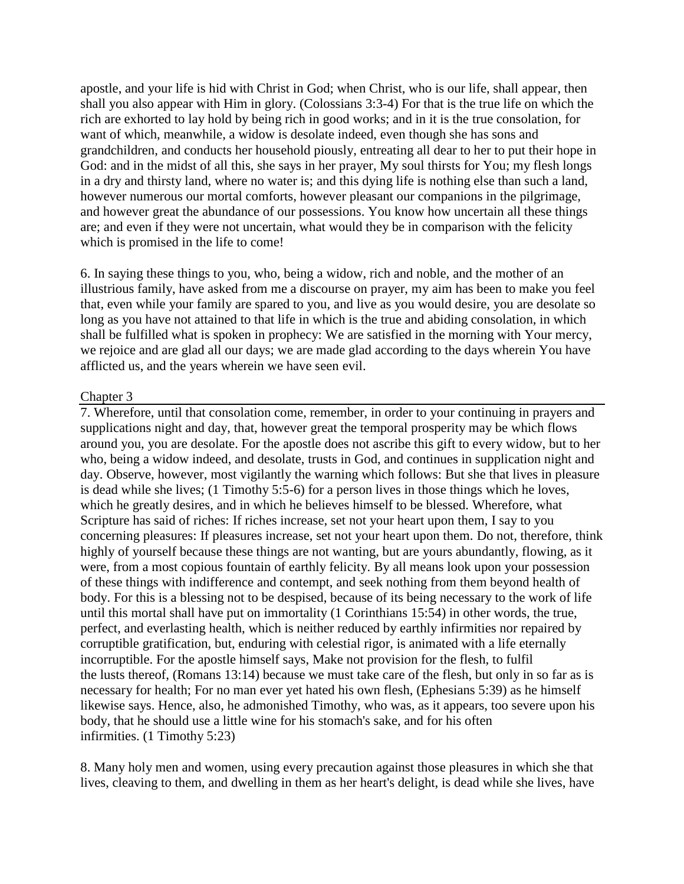apostle, and your life is hid with Christ in [God;](http://www.newadvent.org/cathen/06608a.htm) when Christ, who is our life, shall appear, then shall you also appear with Him in [glory.](http://www.newadvent.org/cathen/06585a.htm) [\(Colossians](http://www.newadvent.org/bible/col003.htm#verse3) 3:3-4) For that is the [true](http://www.newadvent.org/cathen/15073a.htm) life on which the rich are exhorted to lay hold by being rich in good works; and in it is the [true](http://www.newadvent.org/cathen/15073a.htm) consolation, for want of which, meanwhile, a [widow](http://www.newadvent.org/cathen/15617c.htm) is desolate indeed, even though she has sons and grandchildren, and conducts her household piously, entreating all dear to her to put their hope in God: and in the midst of all this, she says in her [prayer,](http://www.newadvent.org/cathen/12345b.htm) My [soul](http://www.newadvent.org/cathen/14153a.htm) thirsts for You; my flesh longs in a dry and thirsty land, where no water is; and this dying life is nothing else than such a land, however numerous our mortal comforts, however pleasant our companions in the pilgrimage, and however great the abundance of our possessions. You [know](http://www.newadvent.org/cathen/08673a.htm) how uncertain all these things are; and even if they were not uncertain, what would they be in comparison with the felicity which is promised in the life to come!

6. In saying these things to you, who, being a [widow,](http://www.newadvent.org/cathen/15617c.htm) rich and noble, and the mother of an illustrious [family,](http://www.newadvent.org/cathen/05782a.htm) have asked from me a discourse on [prayer,](http://www.newadvent.org/cathen/12345b.htm) my aim has been to make you feel that, even while your [family](http://www.newadvent.org/cathen/05782a.htm) are spared to you, and live as you would desire, you are desolate so long as you have not attained to that life in which is the [true](http://www.newadvent.org/cathen/15073a.htm) and abiding consolation, in which shall be fulfilled what is spoken in [prophecy:](http://www.newadvent.org/cathen/12473a.htm) We are satisfied in the morning with Your mercy, we [rejoice](http://www.newadvent.org/cathen/07131b.htm) and are glad all our days; we are made glad according to the days wherein You have afflicted us, and the years wherein we have seen [evil.](http://www.newadvent.org/cathen/05649a.htm)

#### Chapter 3

7. Wherefore, until that consolation come, remember, in order to your continuing in [prayers](http://www.newadvent.org/cathen/12345b.htm) and supplications night and day, that, however great the temporal prosperity may be which flows around you, you are desolate. For the apostle does not ascribe this gift to every [widow,](http://www.newadvent.org/cathen/15617c.htm) but to her who, being a [widow](http://www.newadvent.org/cathen/15617c.htm) indeed, and desolate, trusts in [God,](http://www.newadvent.org/cathen/06608a.htm) and continues in supplication night and day. Observe, however, most vigilantly the warning which follows: But she that lives in pleasure is dead while she lives; (1 [Timothy](http://www.newadvent.org/bible/1ti005.htm#verse5) 5:5-6) for a person lives in those things which he loves, which he greatly desires, and in which he believes himself to be blessed. Wherefore, what Scripture has said of riches: If riches increase, set not your heart upon them, I say to you concerning pleasures: If pleasures increase, set not your heart upon them. Do not, therefore, think highly of yourself because these things are not wanting, but are yours abundantly, flowing, as it were, from a most copious fountain of earthly felicity. By all means look upon your possession of these things with indifference and contempt, and seek nothing from them beyond health of body. For this is a blessing not to be despised, because of its being necessary to the work of life until this mortal shall have put on [immortality](http://www.newadvent.org/cathen/07687a.htm) (1 [Corinthians](http://www.newadvent.org/bible/1co015.htm#verse54) 15:54) in other words, the [true,](http://www.newadvent.org/cathen/15073a.htm) perfect, and everlasting health, which is neither reduced by earthly infirmities nor repaired by corruptible gratification, but, enduring with celestial rigor, is animated with a life eternally incorruptible. For the apostle himself says, Make not provision for the flesh, to fulfil the [lusts](http://www.newadvent.org/cathen/09438a.htm) thereof, [\(Romans](http://www.newadvent.org/bible/rom013.htm#verse14) 13:14) because we must take care of the flesh, but only in so far as is necessary for health; For no man ever yet [hated](http://www.newadvent.org/cathen/07149b.htm) his own flesh, [\(Ephesians](http://www.newadvent.org/bible/eph005.htm#verse39) 5:39) as he himself likewise says. Hence, also, he admonished Timothy, who was, as it appears, too severe upon his body, that he should use a little wine for his stomach's sake, and for his often infirmities. (1 [Timothy](http://www.newadvent.org/bible/1ti005.htm#verse23) 5:23)

8. Many [holy](http://www.newadvent.org/cathen/07386a.htm) men and [women,](http://www.newadvent.org/cathen/15687b.htm) using every precaution against those pleasures in which she that lives, cleaving to them, and dwelling in them as her heart's delight, is dead while she lives, have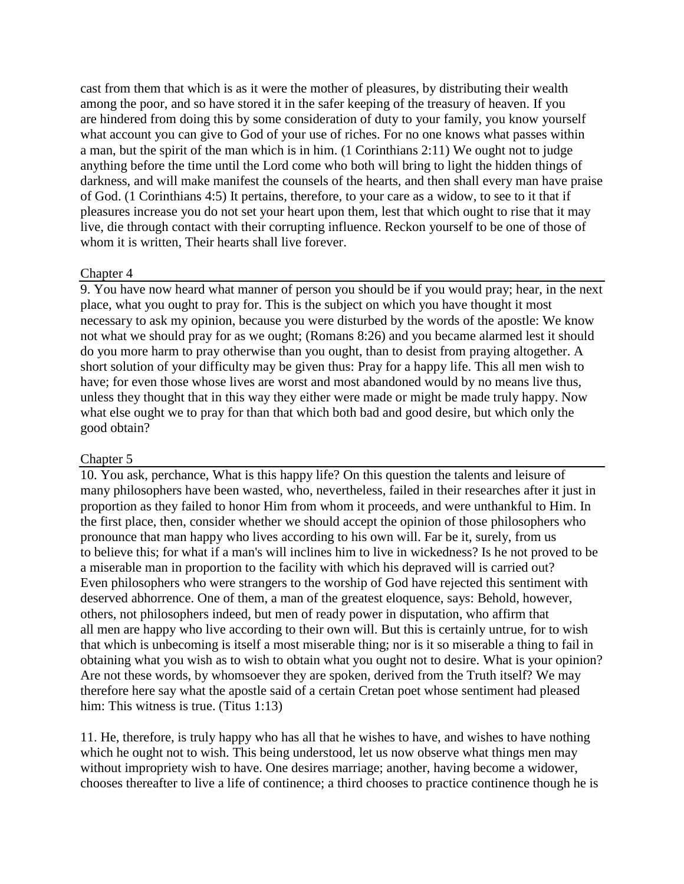cast from them that which is as it were the mother of pleasures, by distributing their wealth among the [poor,](http://www.newadvent.org/cathen/12327a.htm) and so have stored it in the safer keeping of the treasury of heaven. If you are hindered from doing this by some consideration of duty to your [family,](http://www.newadvent.org/cathen/05782a.htm) you [know](http://www.newadvent.org/cathen/08673a.htm) yourself what account you can give to God of your use of riches. For no one [knows](http://www.newadvent.org/cathen/08673a.htm) what passes within a [man,](http://www.newadvent.org/cathen/09580c.htm) but the spirit of the man which is in him. (1 [Corinthians](http://www.newadvent.org/bible/1co002.htm#verse11) 2:11) We ought not to judge anything before the time until the Lord come who both will bring to light the hidden things of darkness, and will make manifest the counsels of the hearts, and then shall every man have praise of [God.](http://www.newadvent.org/cathen/06608a.htm) (1 [Corinthians](http://www.newadvent.org/bible/1co004.htm#verse5) 4:5) It pertains, therefore, to your care as a [widow,](http://www.newadvent.org/cathen/15617c.htm) to see to it that if pleasures increase you do not set your heart upon them, lest that which ought to rise that it may live, die through contact with their corrupting influence. Reckon yourself to be one of those of whom it is written. Their hearts shall live forever.

# Chapter 4

9. You have now heard what manner of person you should be if you would [pray;](http://www.newadvent.org/cathen/12345b.htm) hear, in the next place, what you ought to [pray](http://www.newadvent.org/cathen/12345b.htm) for. This is the subject on which you have thought it most necessary to ask my opinion, because you were disturbed by the words of the apostle: We know not what we should pray for as we ought; [\(Romans](http://www.newadvent.org/bible/rom008.htm#verse26) 8:26) and you became alarmed lest it should do you more harm to [pray](http://www.newadvent.org/cathen/12345b.htm) otherwise than you ought, than to desist from praying altogether. A short solution of your difficulty may be given thus: Pray for a [happy](http://www.newadvent.org/cathen/07131b.htm) life. This all [men](http://www.newadvent.org/cathen/09580c.htm) wish to have; for even those whose lives are worst and most abandoned would by no means live thus, unless they thought that in this way they either were made or might be made [truly](http://www.newadvent.org/cathen/15073a.htm) [happy.](http://www.newadvent.org/cathen/07131b.htm) Now what else ought we to [pray](http://www.newadvent.org/cathen/12345b.htm) for than that which both bad and good desire, but which only the good obtain?

# Chapter 5

10. You ask, perchance, What is this [happy](http://www.newadvent.org/cathen/07131b.htm) life? On this question the talents and leisure of many [philosophers](http://www.newadvent.org/cathen/12025c.htm) have been wasted, who, nevertheless, failed in their researches after it just in proportion as they failed to [honor](http://www.newadvent.org/cathen/07462a.htm) Him from whom it proceeds, and were unthankful to Him. In the first place, then, consider whether we should accept the opinion of those [philosophers](http://www.newadvent.org/cathen/12025c.htm) who pronounce that man [happy](http://www.newadvent.org/cathen/07131b.htm) who lives according to his own will. Far be it, surely, from us to [believe](http://www.newadvent.org/cathen/02408b.htm) this; for what if a man's will inclines him to live in [wickedness?](http://www.newadvent.org/cathen/05649a.htm) Is he not [proved](http://www.newadvent.org/cathen/12454c.htm) to be a miserable man in proportion to the facility with which his depraved will is carried out? Even [philosophers](http://www.newadvent.org/cathen/12025c.htm) who were strangers to the worship of God have rejected this sentiment with deserved abhorrence. One of them, a man of the greatest eloquence, says: Behold, however, others, not [philosophers](http://www.newadvent.org/cathen/12025c.htm) indeed, but men of ready power in disputation, who affirm that all [men](http://www.newadvent.org/cathen/09580c.htm) are [happy](http://www.newadvent.org/cathen/07131b.htm) who live according to their own will. But this is certainly untrue, for to wish that which is unbecoming is itself a most miserable thing; nor is it so miserable a thing to fail in obtaining what you wish as to wish to obtain what you ought not to desire. What is your opinion? Are not these words, by whomsoever they are spoken, derived from the Truth itself? We may therefore here say what the apostle said of a certain Cretan poet whose sentiment had pleased him: This [witness](http://www.newadvent.org/cathen/15677a.htm) is [true.](http://www.newadvent.org/cathen/15073a.htm) [\(Titus](http://www.newadvent.org/bible/tit001.htm#verse13) 1:13)

11. He, therefore, is [truly](http://www.newadvent.org/cathen/15073a.htm) [happy](http://www.newadvent.org/cathen/07131b.htm) who has all that he wishes to have, and wishes to have nothing which he ought not to wish. This being understood, let us now observe what things men may without impropriety wish to have. One desires marriage; another, having become a widower, chooses thereafter to live a life of continence; a third chooses to practice continence though he is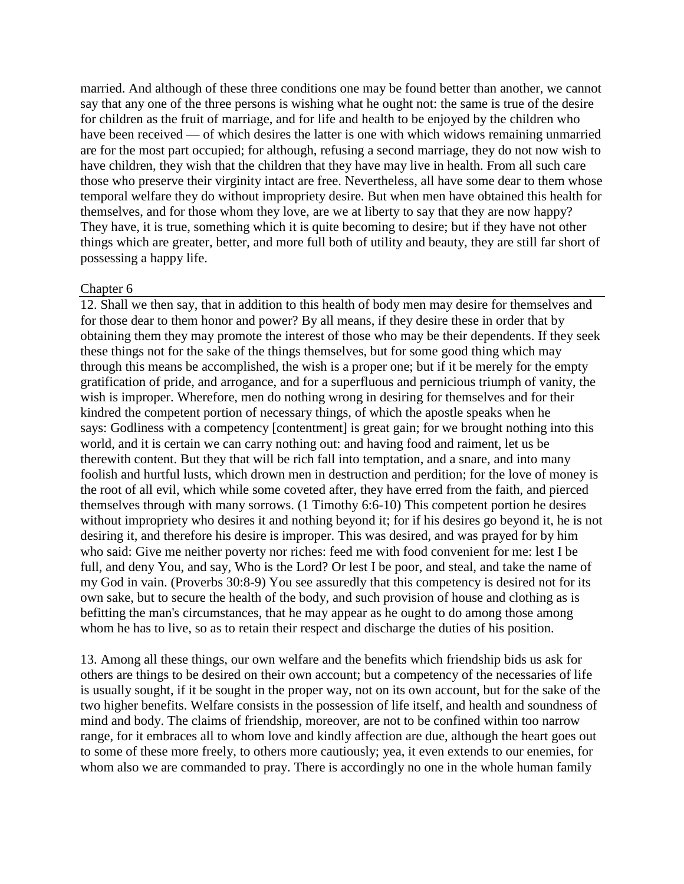married. And although of these three conditions one may be found better than another, we cannot say that any one of the three [persons](http://www.newadvent.org/cathen/11726a.htm) is wishing what he ought not: the same is [true](http://www.newadvent.org/cathen/15073a.htm) of the desire for children as the fruit of marriage, and for life and health to be enjoyed by the children who have been received — of which desires the latter is one with which [widows](http://www.newadvent.org/cathen/15617c.htm) remaining unmarried are for the most part occupied; for although, refusing a second marriage, they do not now wish to have children, they wish that the children that they have may live in health. From all such care those who preserve their [virginity](http://www.newadvent.org/cathen/15458a.htm) intact are free. Nevertheless, all have some dear to them whose temporal welfare they do without impropriety desire. But when men have obtained this health for themselves, and for those whom they [love,](http://www.newadvent.org/cathen/09397a.htm) are we at liberty to say that they are now [happy?](http://www.newadvent.org/cathen/07131b.htm) They have, it is [true,](http://www.newadvent.org/cathen/15073a.htm) something which it is quite becoming to desire; but if they have not other things which are greater, better, and more full both of utility and beauty, they are still far short of possessing a [happy](http://www.newadvent.org/cathen/07131b.htm) life.

#### Chapter 6

12. Shall we then say, that in addition to this health of body men may desire for themselves and for those dear to them honor and power? By all means, if they desire these in order that by obtaining them they may promote the interest of those who may be their dependents. If they seek these things not for the sake of the things themselves, but for some good thing which may through this means be accomplished, the wish is a proper one; but if it be merely for the empty gratification of [pride,](http://www.newadvent.org/cathen/12405a.htm) and arrogance, and for a superfluous and pernicious triumph of vanity, the wish is improper. Wherefore, men do nothing wrong in desiring for themselves and for their kindred the competent portion of necessary things, of which the apostle speaks when he says: Godliness with a competency [contentment] is great gain; for we brought nothing into this world, and it is certain we can carry nothing out: and having food and raiment, let us be therewith content. But they that will be rich fall into [temptation,](http://www.newadvent.org/cathen/14504a.htm) and a snare, and into many foolish and hurtful [lusts,](http://www.newadvent.org/cathen/09438a.htm) which drown men in destruction and perdition; for the [love of money](http://www.newadvent.org/cathen/02148b.htm) is the root of all [evil,](http://www.newadvent.org/cathen/05649a.htm) which while some [coveted](http://www.newadvent.org/cathen/04462a.htm) after, they have erred from the [faith,](http://www.newadvent.org/cathen/05752c.htm) and pierced themselves through with many sorrows. (1 [Timothy](http://www.newadvent.org/bible/1ti006.htm#verse6) 6:6-10) This competent portion he desires without impropriety who desires it and nothing beyond it; for if his desires go beyond it, he is not desiring it, and therefore his desire is improper. This was desired, and was [prayed](http://www.newadvent.org/cathen/12345b.htm) for by him who said: Give me neither poverty nor riches: feed me with food convenient for me: lest I be full, and deny You, and say, Who is the Lord? Or lest I be poor, and steal, and take the name of my God in vain. [\(Proverbs](http://www.newadvent.org/bible/pro030.htm#verse8) 30:8-9) You see assuredly that this competency is desired not for its own sake, but to secure the health of the body, and such provision of house and clothing as is befitting the man's circumstances, that he may appear as he ought to do among those among whom he has to live, so as to retain their respect and discharge the duties of his position.

13. Among all these things, our own welfare and the benefits which friendship bids us ask for others are things to be desired on their own account; but a competency of the necessaries of life is usually sought, if it be sought in the proper way, not on its own account, but for the sake of the two higher benefits. Welfare consists in the possession of life itself, and health and soundness of mind and body. The claims of friendship, moreover, are not to be confined within too narrow range, for it embraces all to whom [love](http://www.newadvent.org/cathen/09397a.htm) and kindly affection are due, although the heart goes out to some of these more freely, to others more cautiously; yea, it even extends to our enemies, for whom also we are commanded to [pray.](http://www.newadvent.org/cathen/12345b.htm) There is accordingly no one in the whole human family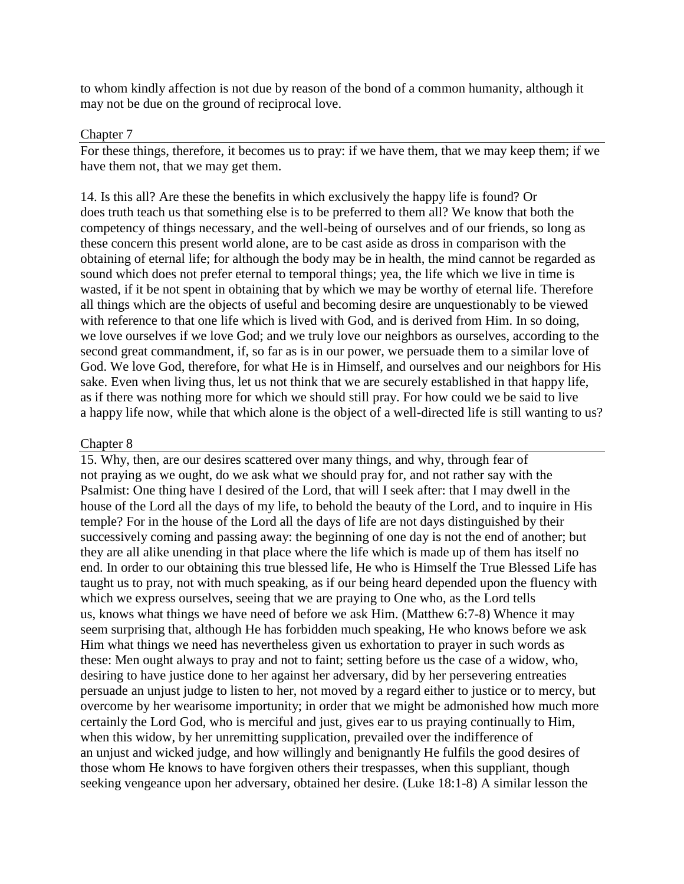to whom kindly affection is not due by reason of the bond of a common humanity, although it may not be due on the ground of reciprocal [love.](http://www.newadvent.org/cathen/09397a.htm)

#### Chapter 7

For these things, therefore, it becomes us to [pray:](http://www.newadvent.org/cathen/12345b.htm) if we have them, that we may keep them; if we have them not, that we may get them.

14. Is this all? Are these the benefits in which exclusively the [happy](http://www.newadvent.org/cathen/07131b.htm) life is found? Or does [truth](http://www.newadvent.org/cathen/15073a.htm) teach us that something else is to be preferred to them all? We [know](http://www.newadvent.org/cathen/08673a.htm) that both the competency of things necessary, and the well-being of ourselves and of our friends, so long as these concern this present world alone, are to be cast aside as dross in comparison with the obtaining of [eternal](http://www.newadvent.org/cathen/05551b.htm) life; for although the body may be in health, the mind cannot be regarded as sound which does not prefer [eternal](http://www.newadvent.org/cathen/05551b.htm) to temporal things; yea, the life which we live in time is wasted, if it be not spent in obtaining that by which we may be worthy of [eternal](http://www.newadvent.org/cathen/05551b.htm) life. Therefore all things which are the objects of useful and becoming desire are unquestionably to be viewed with reference to that one life which is lived with [God,](http://www.newadvent.org/cathen/06608a.htm) and is derived from Him. In so doing, we [love](http://www.newadvent.org/cathen/09397a.htm) ourselves if we [love](http://www.newadvent.org/cathen/09397a.htm) [God;](http://www.newadvent.org/cathen/06608a.htm) and we [truly](http://www.newadvent.org/cathen/15073a.htm) [love](http://www.newadvent.org/cathen/09397a.htm) our neighbors as ourselves, according to the second great commandment, if, so far as is in our power, we persuade them to a similar love of God. We [love](http://www.newadvent.org/cathen/09397a.htm) [God,](http://www.newadvent.org/cathen/06608a.htm) therefore, for what He is in Himself, and ourselves and our neighbors for His sake. Even when living thus, let us not think that we are securely established in that [happy](http://www.newadvent.org/cathen/07131b.htm) life, as if there was nothing more for which we should still [pray.](http://www.newadvent.org/cathen/12345b.htm) For how could we be said to live a [happy](http://www.newadvent.org/cathen/07131b.htm) life now, while that which alone is the object of a well-directed life is still wanting to us?

### Chapter 8

15. Why, then, are our desires scattered over many things, and why, through [fear](http://www.newadvent.org/cathen/06021a.htm) of not [praying](http://www.newadvent.org/cathen/12345b.htm) as we ought, do we ask what we should [pray](http://www.newadvent.org/cathen/12345b.htm) for, and not rather say with the Psalmist: One thing have I desired of the Lord, that will I seek after: that I may dwell in the house of the Lord all the days of my life, to behold the beauty of the Lord, and to inquire in His temple? For in the house of the Lord all the days of life are not days distinguished by their successively coming and passing away: the beginning of one day is not the end of another; but they are all alike unending in that place where the life which is made up of them has itself no end. In order to our obtaining this [true](http://www.newadvent.org/cathen/15073a.htm) blessed life, He who is Himself the True Blessed Life has taught us to [pray,](http://www.newadvent.org/cathen/12345b.htm) not with much speaking, as if our being heard depended upon the fluency with which we express ourselves, seeing that we are [praying](http://www.newadvent.org/cathen/12345b.htm) to One who, as the Lord tells us, [knows](http://www.newadvent.org/cathen/08673a.htm) what things we have need of before we ask Him. [\(Matthew](http://www.newadvent.org/bible/mat006.htm#verse7) 6:7-8) Whence it may seem surprising that, although He has forbidden much speaking, He who [knows](http://www.newadvent.org/cathen/08673a.htm) before we ask Him what things we need has nevertheless given us exhortation to [prayer](http://www.newadvent.org/cathen/12345b.htm) in such words as these: Men ought always to [pray](http://www.newadvent.org/cathen/12345b.htm) and not to faint; setting before us the case of a [widow,](http://www.newadvent.org/cathen/15617c.htm) who, desiring to have [justice](http://www.newadvent.org/cathen/08571c.htm) done to her against her adversary, did by her persevering entreaties persuade an [unjust](http://www.newadvent.org/cathen/08010c.htm) judge to listen to her, not moved by a regard either to [justice](http://www.newadvent.org/cathen/08571c.htm) or to mercy, but overcome by her wearisome importunity; in order that we might be admonished how much more certainly the [Lord God,](http://www.newadvent.org/cathen/06608a.htm) who is merciful and just, gives ear to us [praying](http://www.newadvent.org/cathen/12345b.htm) continually to Him, when this [widow,](http://www.newadvent.org/cathen/15617c.htm) by her unremitting supplication, prevailed over the indifference of an [unjust](http://www.newadvent.org/cathen/08010c.htm) and [wicked](http://www.newadvent.org/cathen/05649a.htm) judge, and how willingly and benignantly He fulfils the good desires of those whom He [knows](http://www.newadvent.org/cathen/08673a.htm) to have forgiven others their trespasses, when this suppliant, though seeking vengeance upon her adversary, obtained her desire. (Luke [18:1-8\)](http://www.newadvent.org/bible/luk018.htm#verse1) A similar lesson the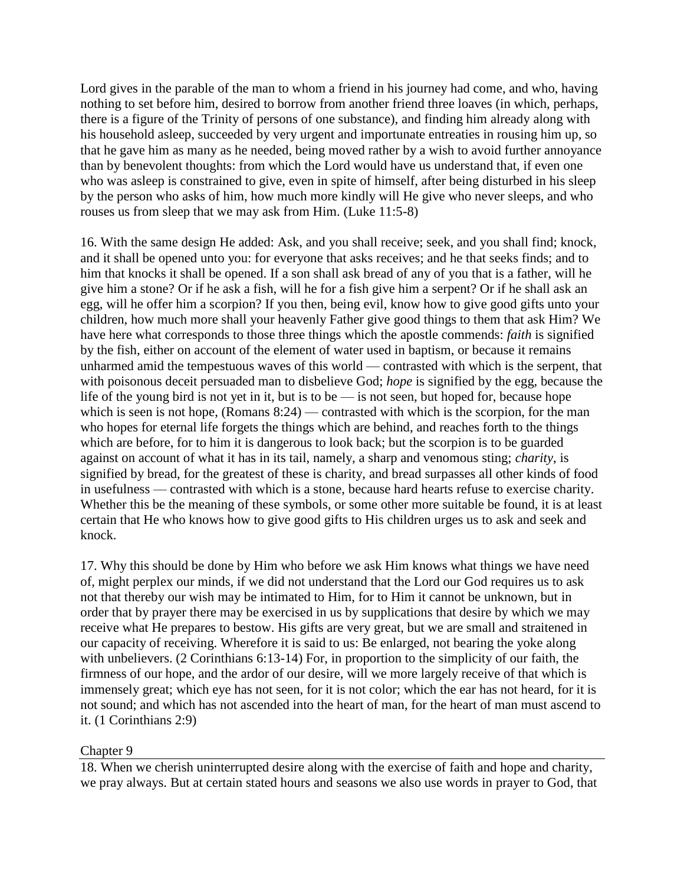Lord gives in the [parable](http://www.newadvent.org/cathen/11460a.htm) of the man to whom a friend in his journey had come, and who, having nothing to set before him, desired to borrow from another friend three loaves (in which, perhaps, there is a figure of the Trinity of [persons](http://www.newadvent.org/cathen/11726a.htm) of one substance), and finding him already along with his household asleep, succeeded by very urgent and importunate entreaties in rousing him up, so that he gave him as many as he needed, being moved rather by a wish to avoid further annoyance than by benevolent thoughts: from which the Lord would have us understand that, if even one who was asleep is constrained to give, even in spite of himself, after being disturbed in his sleep by the person who asks of him, how much more kindly will He give who never sleeps, and who rouses us from sleep that we may ask from Him. (Luke [11:5-8\)](http://www.newadvent.org/bible/luk011.htm#verse5)

16. With the same design He added: Ask, and you shall receive; seek, and you shall find; knock, and it shall be opened unto you: for everyone that asks receives; and he that seeks finds; and to him that knocks it shall be opened. If a son shall ask bread of any of you that is a father, will he give him a stone? Or if he ask a fish, will he for a fish give him a serpent? Or if he shall ask an egg, will he offer him a scorpion? If you then, being [evil,](http://www.newadvent.org/cathen/05649a.htm) [know](http://www.newadvent.org/cathen/08673a.htm) how to give good gifts unto your children, how much more shall your heavenly Father give [good](http://www.newadvent.org/cathen/06636b.htm) things to them that ask Him? We have here what corresponds to those three things which the apostle commends: *[faith](http://www.newadvent.org/cathen/05752c.htm)* is signified by the fish, either on account of the element of water used in [baptism,](http://www.newadvent.org/cathen/02258b.htm) or because it remains unharmed amid the tempestuous waves of this world — contrasted with which is the serpent, that with poisonous deceit persuaded man to disbelieve [God;](http://www.newadvent.org/cathen/06608a.htm) *hope* is signified by the egg, because the life of the young bird is not yet in it, but is to be — is not seen, but hoped for, because hope which is seen is not hope, [\(Romans](http://www.newadvent.org/bible/rom008.htm#verse24) 8:24) — contrasted with which is the scorpion, for the man who hopes for [eternal](http://www.newadvent.org/cathen/05551b.htm) life forgets the things which are behind, and reaches forth to the things which are before, for to him it is dangerous to look back; but the scorpion is to be guarded against on account of what it has in its tail, namely, a sharp and venomous sting; *charity*, is signified by bread, for the greatest of these is charity, and bread surpasses all other kinds of food in usefulness — contrasted with which is a stone, because hard hearts refuse to exercise charity. Whether this be the meaning of these [symbols,](http://www.newadvent.org/cathen/14373b.htm) or some other more suitable be found, it is at least certain that He who [knows](http://www.newadvent.org/cathen/08673a.htm) how to give good gifts to His children urges us to ask and seek and knock.

17. Why this should be done by Him who before we ask Him [knows](http://www.newadvent.org/cathen/08673a.htm) what things we have need of, might perplex our minds, if we did not understand that the Lord our God requires us to ask not that thereby our wish may be intimated to Him, for to Him it cannot be unknown, but in order that by [prayer](http://www.newadvent.org/cathen/12345b.htm) there may be exercised in us by supplications that desire by which we may receive what He prepares to bestow. His gifts are very great, but we are small and straitened in our capacity of receiving. Wherefore it is said to us: Be enlarged, not bearing the yoke along with unbelievers. (2 [Corinthians](http://www.newadvent.org/bible/2co006.htm#verse13) 6:13-14) For, in proportion to the simplicity of our [faith,](http://www.newadvent.org/cathen/05752c.htm) the firmness of our [hope,](http://www.newadvent.org/cathen/07465b.htm) and the ardor of our desire, will we more largely receive of that which is immensely great; which eye has not seen, for it is not color; which the ear has not heard, for it is not sound; and which has not ascended into the heart of [man,](http://www.newadvent.org/cathen/09580c.htm) for the heart of man must ascend to it. (1 [Corinthians](http://www.newadvent.org/bible/1co002.htm#verse9) 2:9)

# Chapter 9

18. When we cherish uninterrupted desire along with the exercise of [faith](http://www.newadvent.org/cathen/05752c.htm) and hope and charity, we [pray](http://www.newadvent.org/cathen/12345b.htm) always. But at certain stated hours and seasons we also use words in [prayer](http://www.newadvent.org/cathen/12345b.htm) to [God,](http://www.newadvent.org/cathen/06608a.htm) that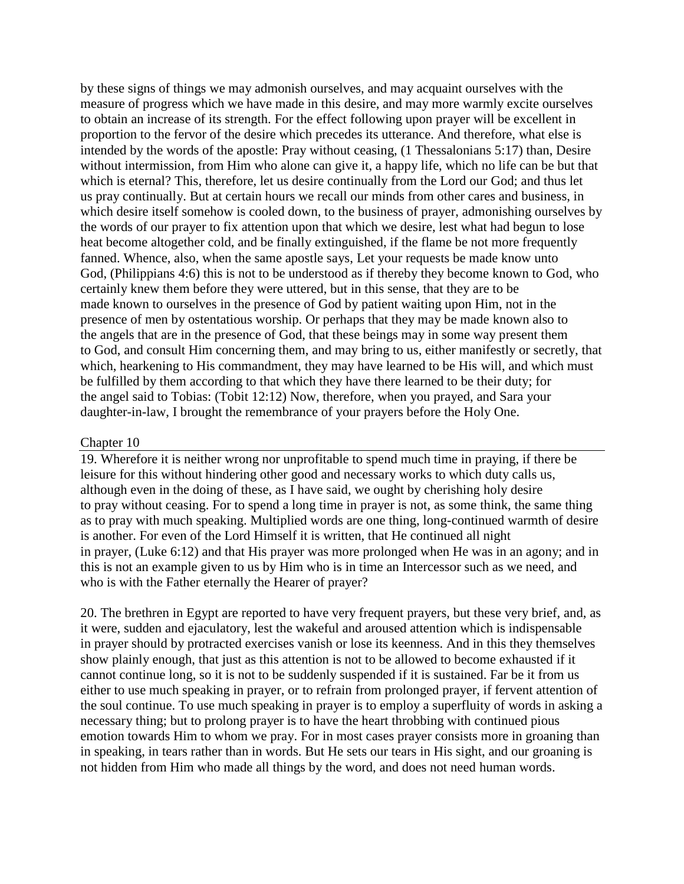by these signs of things we may admonish ourselves, and may acquaint ourselves with the measure of progress which we have made in this desire, and may more warmly excite ourselves to obtain an increase of its strength. For the effect following upon [prayer](http://www.newadvent.org/cathen/12345b.htm) will be excellent in proportion to the fervor of the desire which precedes its utterance. And therefore, what else is intended by the words of the apostle: Pray without ceasing, (1 [Thessalonians](http://www.newadvent.org/bible/1th005.htm#verse17) 5:17) than, Desire without intermission, from Him who alone can give it, a [happy](http://www.newadvent.org/cathen/07131b.htm) life, which no life can be but that which is [eternal?](http://www.newadvent.org/cathen/05551b.htm) This, therefore, let us desire continually from the Lord our [God;](http://www.newadvent.org/cathen/06608a.htm) and thus let us [pray](http://www.newadvent.org/cathen/12345b.htm) continually. But at certain hours we recall our minds from other cares and business, in which desire itself somehow is cooled down, to the business of [prayer,](http://www.newadvent.org/cathen/12345b.htm) admonishing ourselves by the words of our [prayer](http://www.newadvent.org/cathen/12345b.htm) to fix attention upon that which we desire, lest what had begun to lose heat become altogether cold, and be finally extinguished, if the flame be not more frequently fanned. Whence, also, when the same apostle says, Let your requests be made know unto God, [\(Philippians](http://www.newadvent.org/bible/phi004.htm#verse6) 4:6) this is not to be understood as if thereby they become [known](http://www.newadvent.org/cathen/08673a.htm) to [God,](http://www.newadvent.org/cathen/06608a.htm) who certainly [knew](http://www.newadvent.org/cathen/08673a.htm) them before they were uttered, but in this sense, that they are to be made [known](http://www.newadvent.org/cathen/08673a.htm) to ourselves in the presence of God by patient waiting upon Him, not in the presence of men by ostentatious worship. Or perhaps that they may be made [known](http://www.newadvent.org/cathen/08673a.htm) also to the [angels](http://www.newadvent.org/cathen/01476d.htm) that are in the presence of [God,](http://www.newadvent.org/cathen/06608a.htm) that these beings may in some way present them to [God,](http://www.newadvent.org/cathen/06608a.htm) and consult Him concerning them, and may bring to us, either manifestly or secretly, that which, hearkening to His commandment, they may have learned to be His [will,](http://www.newadvent.org/cathen/15624a.htm) and which must be fulfilled by them according to that which they have there learned to be their duty; for the [angel](http://www.newadvent.org/cathen/01476d.htm) said to Tobias: (Tobit [12:12\)](http://www.newadvent.org/bible/tob012.htm#verse12) Now, therefore, when you [prayed,](http://www.newadvent.org/cathen/12345b.htm) and Sara your daughter-in-law, I brought the remembrance of your [prayers](http://www.newadvent.org/cathen/12345b.htm) before the [Holy One.](http://www.newadvent.org/cathen/06608a.htm)

#### Chapter 10

19. Wherefore it is neither wrong nor unprofitable to spend much time in [praying,](http://www.newadvent.org/cathen/12345b.htm) if there be leisure for this without hindering other good and necessary works to which duty calls us, although even in the doing of these, as I have said, we ought by cherishing [holy](http://www.newadvent.org/cathen/07386a.htm) desire to [pray](http://www.newadvent.org/cathen/12345b.htm) without ceasing. For to spend a long time in [prayer](http://www.newadvent.org/cathen/12345b.htm) is not, as some think, the same thing as to [pray](http://www.newadvent.org/cathen/12345b.htm) with much speaking. Multiplied words are one thing, long-continued warmth of desire is another. For even of the Lord Himself it is written, that He continued all night in [prayer,](http://www.newadvent.org/cathen/12345b.htm) [\(Luke](http://www.newadvent.org/bible/luk006.htm#verse12) 6:12) and that His [prayer](http://www.newadvent.org/cathen/12345b.htm) was more prolonged when He was in an agony; and in this is not an example given to us by Him who is in time an Intercessor such as we need, and who is with the Father eternally the Hearer of [prayer?](http://www.newadvent.org/cathen/12345b.htm)

20. The brethren in [Egypt](http://www.newadvent.org/cathen/05329b.htm) are reported to have very frequent [prayers,](http://www.newadvent.org/cathen/12345b.htm) but these very brief, and, as it were, sudden and ejaculatory, lest the wakeful and aroused attention which is indispensable in [prayer](http://www.newadvent.org/cathen/12345b.htm) should by protracted exercises vanish or lose its keenness. And in this they themselves show plainly enough, that just as this attention is not to be allowed to become exhausted if it cannot continue long, so it is not to be suddenly suspended if it is sustained. Far be it from us either to use much speaking in [prayer,](http://www.newadvent.org/cathen/12345b.htm) or to refrain from prolonged [prayer,](http://www.newadvent.org/cathen/12345b.htm) if fervent attention of the [soul](http://www.newadvent.org/cathen/14153a.htm) continue. To use much speaking in [prayer](http://www.newadvent.org/cathen/12345b.htm) is to employ a superfluity of words in asking a necessary thing; but to prolong [prayer](http://www.newadvent.org/cathen/12345b.htm) is to have the heart throbbing with continued pious emotion towards Him to whom we [pray.](http://www.newadvent.org/cathen/12345b.htm) For in most cases [prayer](http://www.newadvent.org/cathen/12345b.htm) consists more in groaning than in speaking, in tears rather than in words. But He sets our tears in His sight, and our groaning is not hidden from Him who made all things by the word, and does not need [human](http://www.newadvent.org/cathen/09580c.htm) words.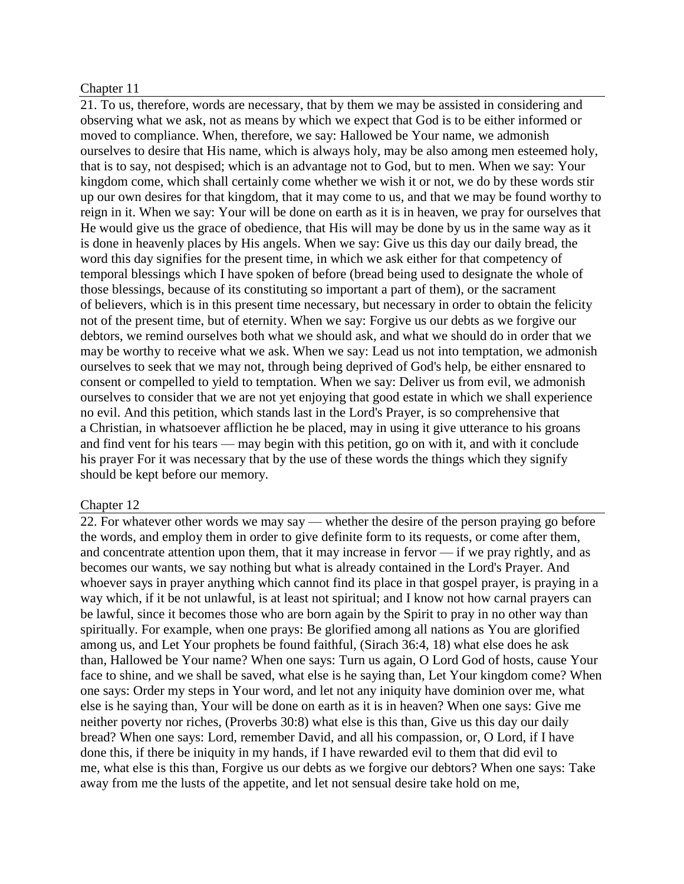### Chapter 11

21. To us, therefore, words are necessary, that by them we may be assisted in considering and observing what we ask, not as means by which we expect that God is to be either informed or moved to compliance. When, therefore, we say: Hallowed be Your name, we admonish ourselves to desire that His name, which is always [holy,](http://www.newadvent.org/cathen/07386a.htm) may be also among [men](http://www.newadvent.org/cathen/09580c.htm) esteemed [holy,](http://www.newadvent.org/cathen/07386a.htm) that is to say, not despised; which is an advantage not to [God,](http://www.newadvent.org/cathen/06608a.htm) but to men. When we say: Your kingdom come, which shall certainly come whether we wish it or not, we do by these words stir up our own desires for that kingdom, that it may come to us, and that we may be found worthy to reign in it. When we say: Your will be done on earth as it is in heaven, we [pray](http://www.newadvent.org/cathen/12345b.htm) for ourselves that He would give us the [grace](http://www.newadvent.org/cathen/06689a.htm) of [obedience,](http://www.newadvent.org/cathen/11181c.htm) that His [will](http://www.newadvent.org/cathen/15624a.htm) may be done by us in the same way as it is done in heavenly places by His [angels.](http://www.newadvent.org/cathen/01476d.htm) When we say: Give us this day our daily bread, the word this day signifies for the present time, in which we ask either for that competency of temporal blessings which I have spoken of before (bread being used to designate the whole of those blessings, because of its constituting so important a part of them), or the sacrament of [believers,](http://www.newadvent.org/cathen/05769a.htm) which is in this present time necessary, but necessary in order to obtain the felicity not of the present time, but of [eternity.](http://www.newadvent.org/cathen/05551b.htm) When we say: Forgive us our debts as we forgive our debtors, we remind ourselves both what we should ask, and what we should do in order that we may be worthy to receive what we ask. When we say: Lead us not into [temptation,](http://www.newadvent.org/cathen/14504a.htm) we admonish ourselves to seek that we may not, through being deprived of God's help, be either ensnared to consent or compelled to yield to [temptation.](http://www.newadvent.org/cathen/14504a.htm) When we say: Deliver us from [evil,](http://www.newadvent.org/cathen/05649a.htm) we admonish ourselves to consider that we are not yet enjoying that good estate in which we shall experience no [evil.](http://www.newadvent.org/cathen/05649a.htm) And this petition, which stands last in the Lord's Prayer, is so comprehensive that a [Christian,](http://www.newadvent.org/cathen/03712a.htm) in whatsoever affliction he be placed, may in using it give utterance to his groans and find vent for his tears — may begin with this petition, go on with it, and with it conclude his [prayer](http://www.newadvent.org/cathen/12345b.htm) For it was necessary that by the use of these words the things which they signify should be kept before our memory.

#### Chapter 12

22. For whatever other words we may say — whether the desire of the person [praying](http://www.newadvent.org/cathen/12345b.htm) go before the words, and employ them in order to give definite form to its requests, or come after them, and concentrate attention upon them, that it may increase in fervor — if we [pray](http://www.newadvent.org/cathen/12345b.htm) rightly, and as becomes our wants, we say nothing but what is already contained in the Lord's Prayer. And whoever says in [prayer](http://www.newadvent.org/cathen/12345b.htm) anything which cannot find its place in that gospel [prayer,](http://www.newadvent.org/cathen/12345b.htm) is [praying](http://www.newadvent.org/cathen/12345b.htm) in a way which, if it be not unlawful, is at least not spiritual; and I [know](http://www.newadvent.org/cathen/08673a.htm) not how carnal [prayers](http://www.newadvent.org/cathen/12345b.htm) can be lawful, since it becomes those who are born again by the Spirit to [pray](http://www.newadvent.org/cathen/12345b.htm) in no other way than spiritually. For example, when one [prays:](http://www.newadvent.org/cathen/12345b.htm) Be [glorified](http://www.newadvent.org/cathen/06585a.htm) among all nations as You are glorified among us, and Let Your [prophets](http://www.newadvent.org/cathen/12477a.htm) be found faithful, [\(Sirach](http://www.newadvent.org/bible/sir036.htm#verse4) 36:4, 18) what else does he ask than, Hallowed be Your name? When one says: Turn us again, O Lord God of hosts, [cause](http://www.newadvent.org/cathen/03459a.htm) Your face to shine, and we shall be saved, what else is he saying than, Let Your kingdom come? When one says: Order my steps in Your word, and let not any iniquity have dominion over me, what else is he saying than, Your will be done on earth as it is in heaven? When one says: Give me neither poverty nor riches, [\(Proverbs](http://www.newadvent.org/bible/pro030.htm#verse8) 30:8) what else is this than, Give us this day our daily bread? When one says: Lord, remember David, and all his compassion, or, O Lord, if I have done this, if there be iniquity in my hands, if I have rewarded [evil](http://www.newadvent.org/cathen/05649a.htm) to them that did [evil](http://www.newadvent.org/cathen/05649a.htm) to me, what else is this than, Forgive us our debts as we forgive our debtors? When one says: Take away from me the [lusts](http://www.newadvent.org/cathen/09438a.htm) of the appetite, and let not sensual desire take hold on me,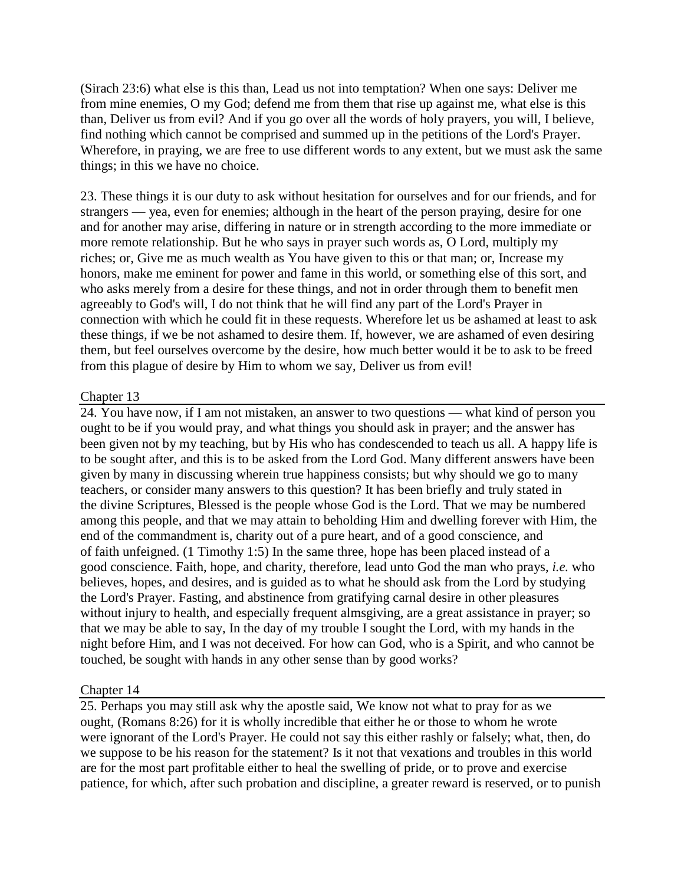[\(Sirach](http://www.newadvent.org/bible/sir023.htm#verse6) 23:6) what else is this than, Lead us not into [temptation?](http://www.newadvent.org/cathen/14504a.htm) When one says: Deliver me from mine enemies, O my [God;](http://www.newadvent.org/cathen/06608a.htm) defend me from them that rise up against me, what else is this than, Deliver us from [evil?](http://www.newadvent.org/cathen/05649a.htm) And if you go over all the words of holy prayers, you will, I [believe,](http://www.newadvent.org/cathen/02408b.htm) find nothing which cannot be comprised and summed up in the petitions of the Lord's Prayer. Wherefore, in [praying,](http://www.newadvent.org/cathen/12345b.htm) we are free to use different words to any extent, but we must ask the same things; in this we have no choice.

23. These things it is our duty to ask without hesitation for ourselves and for our friends, and for strangers — yea, even for enemies; although in the heart of the person [praying,](http://www.newadvent.org/cathen/12345b.htm) desire for one and for another may arise, differing in nature or in strength according to the more immediate or more remote relationship. But he who says in [prayer](http://www.newadvent.org/cathen/12345b.htm) such words as, O Lord, multiply my riches; or, Give me as much [wealth](http://www.newadvent.org/cathen/15571a.htm) as You have given to this or that man; or, Increase my honors, make me eminent for power and fame in this world, or something else of this sort, and who asks merely from a desire for these things, and not in order through them to benefit men agreeably to [God's](http://www.newadvent.org/cathen/06608a.htm) [will,](http://www.newadvent.org/cathen/15624a.htm) I do not think that he will find any part of the Lord's Prayer in connection with which he could fit in these requests. Wherefore let us be ashamed at least to ask these things, if we be not ashamed to desire them. If, however, we are ashamed of even desiring them, but feel ourselves overcome by the desire, how much better would it be to ask to be freed from this plague of desire by Him to whom we say, Deliver us from [evil!](http://www.newadvent.org/cathen/05649a.htm)

#### Chapter 13

24. You have now, if I am not mistaken, an answer to two questions — what kind of person you ought to be if you would [pray,](http://www.newadvent.org/cathen/12345b.htm) and what things you should ask in [prayer;](http://www.newadvent.org/cathen/12345b.htm) and the answer has been given not by my teaching, but by His who has condescended to teach us all. A [happy](http://www.newadvent.org/cathen/07131b.htm) life is to be sought after, and this is to be asked from the Lord God. Many different answers have been given by many in discussing wherein [true](http://www.newadvent.org/cathen/15073a.htm) [happiness](http://www.newadvent.org/cathen/07131b.htm) consists; but why should we go to many teachers, or consider many answers to this question? It has been briefly and [truly](http://www.newadvent.org/cathen/15073a.htm) stated in the [divine Scriptures,](http://www.newadvent.org/bible/index.html) Blessed is the people whose God is the Lord. That we may be numbered among this people, and that we may attain to beholding Him and dwelling forever with Him, the end of the commandment is, charity out of a pure heart, and of a good [conscience,](http://www.newadvent.org/cathen/04268a.htm) and of [faith](http://www.newadvent.org/cathen/05752c.htm) unfeigned. (1 [Timothy](http://www.newadvent.org/bible/1ti001.htm#verse5) 1:5) In the same three, hope has been placed instead of a good [conscience.](http://www.newadvent.org/cathen/04268a.htm) Faith, hope, and charity, therefore, lead unto God the man who [prays,](http://www.newadvent.org/cathen/12345b.htm) *i.e.* who believes, hopes, and desires, and is guided as to what he should ask from the Lord by studying the Lord's Prayer. Fasting, and abstinence from gratifying carnal desire in other pleasures without injury to health, and especially frequent almsgiving, are a great assistance in [prayer;](http://www.newadvent.org/cathen/12345b.htm) so that we may be able to say, In the day of my trouble I sought the Lord, with my hands in the night before Him, and I was not deceived. For how can [God,](http://www.newadvent.org/cathen/06608a.htm) who is a Spirit, and who cannot be touched, be sought with hands in any other sense than by good works?

#### Chapter 14

25. Perhaps you may still ask why the apostle said, We [know](http://www.newadvent.org/cathen/08673a.htm) not what to [pray](http://www.newadvent.org/cathen/12345b.htm) for as we ought, [\(Romans](http://www.newadvent.org/bible/rom008.htm#verse26) 8:26) for it is wholly incredible that either he or those to whom he wrote were [ignorant](http://www.newadvent.org/cathen/07648a.htm) of the Lord's Prayer. He could not say this either rashly or [falsely;](http://www.newadvent.org/cathen/05781a.htm) what, then, do we suppose to be his reason for the statement? Is it not that vexations and troubles in this world are for the most part profitable either to heal the swelling of [pride,](http://www.newadvent.org/cathen/12405a.htm) or to prove and exercise patience, for which, after such probation and discipline, a greater reward is reserved, or to punish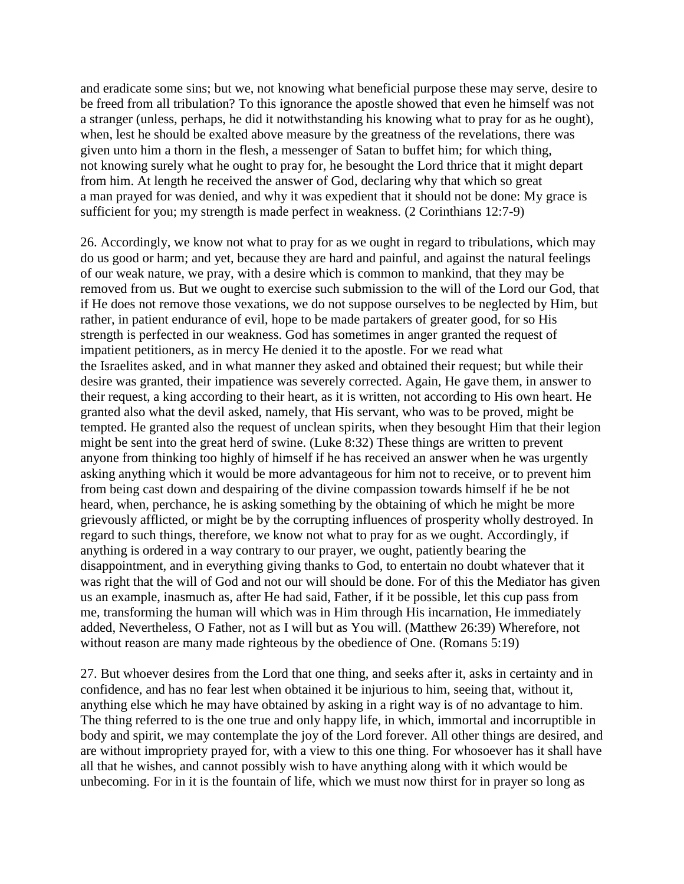and eradicate some [sins;](http://www.newadvent.org/cathen/14004b.htm) but we, not knowing what beneficial purpose these may serve, desire to be freed from all tribulation? To this [ignorance](http://www.newadvent.org/cathen/07648a.htm) the apostle showed that even he himself was not a stranger (unless, perhaps, he did it notwithstanding his [knowing](http://www.newadvent.org/cathen/08673a.htm) what to [pray](http://www.newadvent.org/cathen/12345b.htm) for as he ought), when, lest he should be exalted above measure by the greatness of the revelations, there was given unto him a thorn in the flesh, a messenger of [Satan](http://www.newadvent.org/cathen/04764a.htm) to buffet him; for which thing, not [knowing](http://www.newadvent.org/cathen/08673a.htm) surely what he ought to [pray](http://www.newadvent.org/cathen/12345b.htm) for, he besought the Lord thrice that it might depart from him. At length he received the answer of [God,](http://www.newadvent.org/cathen/06608a.htm) declaring why that which so great a [man](http://www.newadvent.org/cathen/09580c.htm) [prayed](http://www.newadvent.org/cathen/12345b.htm) for was denied, and why it was expedient that it should not be done: My [grace](http://www.newadvent.org/cathen/06689a.htm) is sufficient for you; my strength is made perfect in weakness. (2 [Corinthians](http://www.newadvent.org/bible/2co012.htm#verse7) 12:7-9)

26. Accordingly, we [know](http://www.newadvent.org/cathen/08673a.htm) not what to [pray](http://www.newadvent.org/cathen/12345b.htm) for as we ought in regard to tribulations, which may do us good or harm; and yet, because they are hard and painful, and against the natural feelings of our weak nature, we [pray,](http://www.newadvent.org/cathen/12345b.htm) with a desire which is common to [mankind,](http://www.newadvent.org/cathen/09580c.htm) that they may be removed from us. But we ought to exercise such submission to the [will](http://www.newadvent.org/cathen/15624a.htm) of the Lord our [God,](http://www.newadvent.org/cathen/06608a.htm) that if He does not remove those vexations, we do not suppose ourselves to be neglected by Him, but rather, in patient endurance of [evil,](http://www.newadvent.org/cathen/05649a.htm) hope to be made partakers of greater good, for so His strength is perfected in our weakness. God has sometimes in [anger](http://www.newadvent.org/cathen/01489a.htm) granted the request of impatient petitioners, as in mercy He denied it to the apostle. For we read what the [Israelites](http://www.newadvent.org/cathen/08193a.htm) asked, and in what manner they asked and obtained their request; but while their desire was granted, their impatience was severely corrected. Again, He gave them, in answer to their request, a king according to their heart, as it is written, not according to His own heart. He granted also what the [devil](http://www.newadvent.org/cathen/04764a.htm) asked, namely, that His servant, who was to be [proved,](http://www.newadvent.org/cathen/12454c.htm) might be tempted. He granted also the request of unclean spirits, when they besought Him that their legion might be sent into the great herd of swine. [\(Luke](http://www.newadvent.org/bible/luk008.htm#verse32) 8:32) These things are written to prevent anyone from thinking too highly of himself if he has received an answer when he was urgently asking anything which it would be more advantageous for him not to receive, or to prevent him from being cast down and despairing of the divine compassion towards himself if he be not heard, when, perchance, he is asking something by the obtaining of which he might be more grievously afflicted, or might be by the corrupting influences of prosperity wholly destroyed. In regard to such things, therefore, we know not what to [pray](http://www.newadvent.org/cathen/12345b.htm) for as we ought. Accordingly, if anything is ordered in a way contrary to our [prayer,](http://www.newadvent.org/cathen/12345b.htm) we ought, patiently bearing the disappointment, and in everything giving thanks to [God,](http://www.newadvent.org/cathen/06608a.htm) to entertain no [doubt](http://www.newadvent.org/cathen/05141a.htm) whatever that it was right that the [will](http://www.newadvent.org/cathen/15624a.htm) of [God](http://www.newadvent.org/cathen/06608a.htm) and not our [will](http://www.newadvent.org/cathen/15624a.htm) should be done. For of this the Mediator has given us an example, inasmuch as, after He had said, Father, if it be possible, let this cup pass from me, transforming the [human](http://www.newadvent.org/cathen/09580c.htm) will which was in Him through His [incarnation,](http://www.newadvent.org/cathen/07706b.htm) He immediately added, Nevertheless, O Father, not as I will but as You will. [\(Matthew](http://www.newadvent.org/bible/mat026.htm#verse39) 26:39) Wherefore, not without reason are many made righteous by the [obedience](http://www.newadvent.org/cathen/11181c.htm) of One. [\(Romans](http://www.newadvent.org/bible/rom005.htm#verse19) 5:19)

27. But whoever desires from the Lord that one thing, and seeks after it, asks in certainty and in confidence, and has no [fear](http://www.newadvent.org/cathen/06021a.htm) lest when obtained it be injurious to him, seeing that, without it, anything else which he may have obtained by asking in a right way is of no advantage to him. The thing referred to is the one [true](http://www.newadvent.org/cathen/15073a.htm) and only [happy](http://www.newadvent.org/cathen/07131b.htm) life, in which, [immortal](http://www.newadvent.org/cathen/07687a.htm) and incorruptible in body and spirit, we may contemplate the [joy](http://www.newadvent.org/cathen/07131b.htm) of the Lord forever. All other things are desired, and are without impropriety [prayed](http://www.newadvent.org/cathen/12345b.htm) for, with a view to this one thing. For whosoever has it shall have all that he wishes, and cannot possibly wish to have anything along with it which would be unbecoming. For in it is the fountain of life, which we must now thirst for in [prayer](http://www.newadvent.org/cathen/12345b.htm) so long as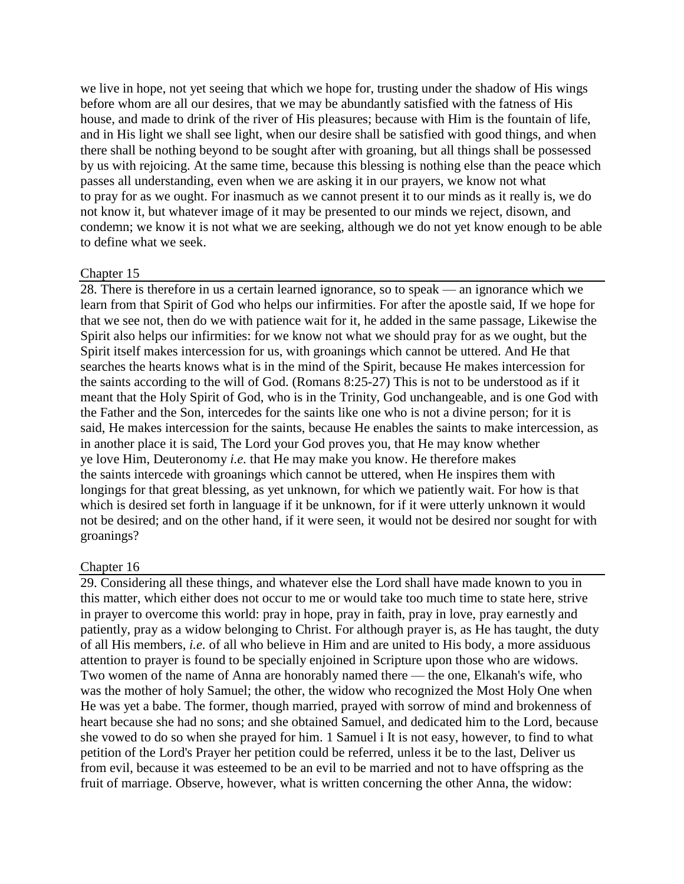we live in hope, not yet seeing that which we hope for, trusting under the shadow of His wings before whom are all our desires, that we may be abundantly satisfied with the fatness of His house, and made to drink of the river of His pleasures; because with Him is the fountain of life, and in His light we shall see light, when our desire shall be satisfied with [good](http://www.newadvent.org/cathen/06636b.htm) things, and when there shall be nothing beyond to be sought after with groaning, but all things shall be possessed by us with rejoicing. At the same time, because this blessing is nothing else than the peace which passes all understanding, even when we are asking it in our [prayers,](http://www.newadvent.org/cathen/12345b.htm) we [know](http://www.newadvent.org/cathen/08673a.htm) not what to [pray](http://www.newadvent.org/cathen/12345b.htm) for as we ought. For inasmuch as we cannot present it to our minds as it really is, we do not [know](http://www.newadvent.org/cathen/08673a.htm) it, but whatever image of it may be presented to our minds we reject, disown, and condemn; we [know](http://www.newadvent.org/cathen/08673a.htm) it is not what we are seeking, although we do not yet [know](http://www.newadvent.org/cathen/08673a.htm) enough to be able to define what we seek.

#### Chapter 15

28. There is therefore in us a certain learned [ignorance,](http://www.newadvent.org/cathen/07648a.htm) so to speak — an [ignorance](http://www.newadvent.org/cathen/07648a.htm) which we learn from that [Spirit of God](http://www.newadvent.org/cathen/07409a.htm) who helps our infirmities. For after the apostle said, If we hope for that we see not, then do we with patience wait for it, he added in the same passage, Likewise the Spirit also helps our infirmities: for we [know](http://www.newadvent.org/cathen/08673a.htm) not what we should [pray](http://www.newadvent.org/cathen/12345b.htm) for as we ought, but the Spirit itself makes intercession for us, with groanings which cannot be uttered. And He that searches the hearts [knows](http://www.newadvent.org/cathen/08673a.htm) what is in the [mind](http://www.newadvent.org/cathen/10321a.htm) of the [Spirit,](http://www.newadvent.org/cathen/07409a.htm) because He makes intercession for the [saints](http://www.newadvent.org/cathen/04171a.htm) according to the [will](http://www.newadvent.org/cathen/15624a.htm) of [God.](http://www.newadvent.org/cathen/06608a.htm) [\(Romans](http://www.newadvent.org/bible/rom008.htm#verse25) 8:25-27) This is not to be understood as if it meant that the [Holy Spirit](http://www.newadvent.org/cathen/07409a.htm) of [God,](http://www.newadvent.org/cathen/06608a.htm) who is in the Trinity, God unchangeable, and is one God with the Father and the [Son,](http://www.newadvent.org/cathen/14142b.htm) intercedes for the [saints](http://www.newadvent.org/cathen/04171a.htm) like one who is not a divine person; for it is said, He makes intercession for the [saints,](http://www.newadvent.org/cathen/04171a.htm) because He enables the [saints](http://www.newadvent.org/cathen/04171a.htm) to make intercession, as in another place it is said, The Lord your God proves you, that He may [know](http://www.newadvent.org/cathen/08673a.htm) whether ye [love](http://www.newadvent.org/cathen/09397a.htm) Him, Deuteronomy *i.e.* that He may make you [know.](http://www.newadvent.org/cathen/08673a.htm) He therefore makes the [saints](http://www.newadvent.org/cathen/04171a.htm) intercede with groanings which cannot be uttered, when He inspires them with longings for that great blessing, as yet unknown, for which we patiently wait. For how is that which is desired set forth in language if it be unknown, for if it were utterly unknown it would not be desired; and on the other hand, if it were seen, it would not be desired nor sought for with groanings?

# Chapter 16

29. Considering all these things, and whatever else the Lord shall have made [known](http://www.newadvent.org/cathen/08673a.htm) to you in this matter, which either does not occur to me or would take too much time to state here, strive in [prayer](http://www.newadvent.org/cathen/12345b.htm) to overcome this world: [pray](http://www.newadvent.org/cathen/12345b.htm) in hope, [pray](http://www.newadvent.org/cathen/12345b.htm) in [faith,](http://www.newadvent.org/cathen/05752c.htm) [pray](http://www.newadvent.org/cathen/12345b.htm) in [love,](http://www.newadvent.org/cathen/09397a.htm) [pray](http://www.newadvent.org/cathen/12345b.htm) earnestly and patiently, [pray](http://www.newadvent.org/cathen/12345b.htm) as a [widow](http://www.newadvent.org/cathen/15617c.htm) belonging to [Christ.](http://www.newadvent.org/cathen/08374c.htm) For although [prayer](http://www.newadvent.org/cathen/12345b.htm) is, as He has taught, the duty of all His members, *i.e.* of all who [believe](http://www.newadvent.org/cathen/02408b.htm) in Him and are united to His body, a more assiduous attention to [prayer](http://www.newadvent.org/cathen/12345b.htm) is found to be specially enjoined in Scripture upon those who are [widows.](http://www.newadvent.org/cathen/15617c.htm) Two [women](http://www.newadvent.org/cathen/15687b.htm) of the name of Anna are honorably named there — the one, Elkanah's wife, who was the mother of [holy](http://www.newadvent.org/cathen/07386a.htm) Samuel; the other, the [widow](http://www.newadvent.org/cathen/15617c.htm) who recognized the Most Holy One when He was yet a babe. The former, though married, [prayed](http://www.newadvent.org/cathen/12345b.htm) with sorrow of mind and brokenness of heart because she had no sons; and she obtained Samuel, and dedicated him to the Lord, because she vowed to do so when she [prayed](http://www.newadvent.org/cathen/12345b.htm) for him. 1 [Samuel](http://www.newadvent.org/bible/1sa001.htm) i It is not easy, however, to find to what petition of the Lord's Prayer her petition could be referred, unless it be to the last, Deliver us from [evil,](http://www.newadvent.org/cathen/05649a.htm) because it was esteemed to be an [evil](http://www.newadvent.org/cathen/05649a.htm) to be married and not to have offspring as the fruit of marriage. Observe, however, what is written concerning the other Anna, the [widow:](http://www.newadvent.org/cathen/15617c.htm)